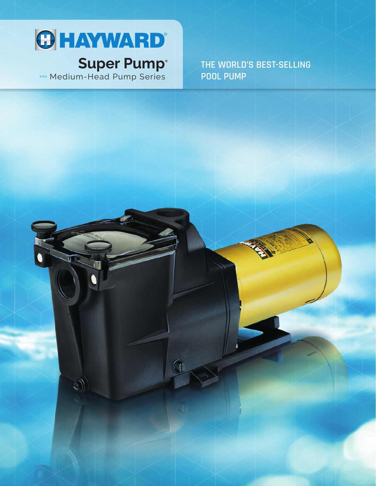

# **Super Pump®**

»»» Medium-Head Pump Series

**THE WORLD'S BEST-SELLING POOL PUMP**